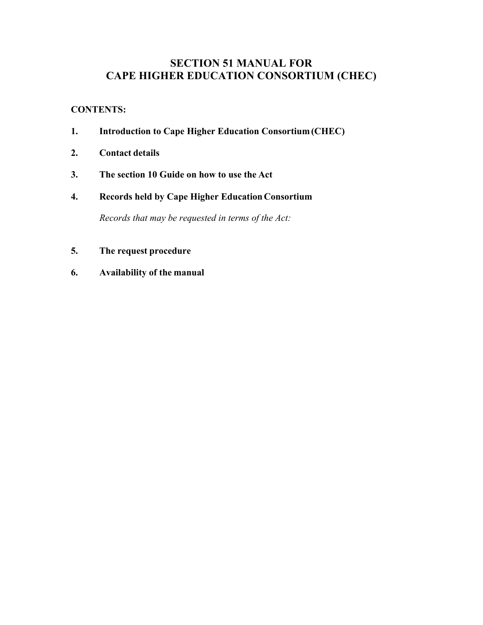# **SECTION 51 MANUAL FOR CAPE HIGHER EDUCATION CONSORTIUM (CHEC)**

# **CONTENTS:**

- **1. Introduction to Cape Higher Education Consortium(CHEC)**
- **2. Contact details**
- **3. The section 10 Guide on how to use the Act**
- **4. Records held by Cape Higher Education Consortium**

*Records that may be requested in terms of the Act:*

- **5. The request procedure**
- **6. Availability of the manual**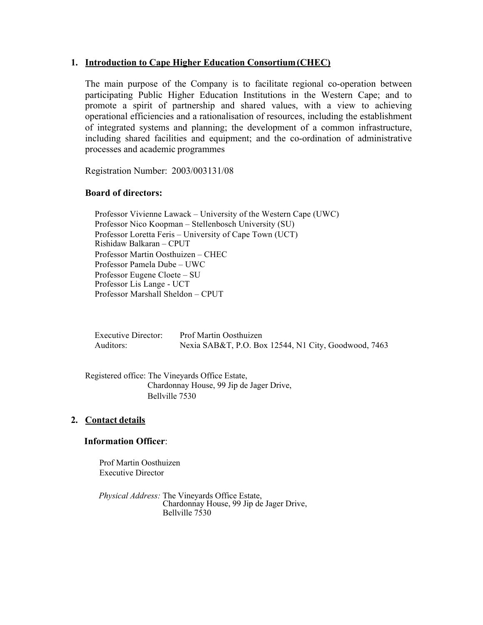## **1. Introduction to Cape Higher Education Consortium (CHEC)**

The main purpose of the Company is to facilitate regional co-operation between participating Public Higher Education Institutions in the Western Cape; and to promote a spirit of partnership and shared values, with a view to achieving operational efficiencies and a rationalisation of resources, including the establishment of integrated systems and planning; the development of a common infrastructure, including shared facilities and equipment; and the co-ordination of administrative processes and academic programmes

Registration Number: 2003/003131/08

## **Board of directors:**

Professor Vivienne Lawack – University of the Western Cape (UWC) Professor Nico Koopman – Stellenbosch University (SU) Professor Loretta Feris – University of Cape Town (UCT) Rishidaw Balkaran – CPUT Professor Martin Oosthuizen – CHEC Professor Pamela Dube – UWC Professor Eugene Cloete – SU Professor Lis Lange - UCT Professor Marshall Sheldon – CPUT

| <b>Executive Director:</b> | Prof Martin Oosthuizen                               |
|----------------------------|------------------------------------------------------|
| Auditors:                  | Nexia SAB&T, P.O. Box 12544, N1 City, Goodwood, 7463 |

Registered office: The Vineyards Office Estate, Chardonnay House, 99 Jip de Jager Drive, Bellville 7530

## **2. Contact details**

## **Information Officer**:

Prof Martin Oosthuizen Executive Director

*Physical Address:* The Vineyards Office Estate, Chardonnay House, 99 Jip de Jager Drive, Bellville 7530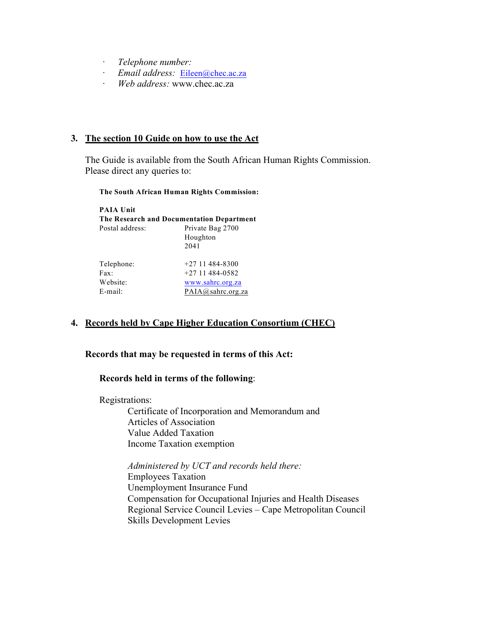- $Telephone number:$
- · *Email address:* Eileen@chec.ac.za
- · *Web address:* www.chec.ac.za

## **3. The section 10 Guide on how to use the Act**

The Guide is available from the South African Human Rights Commission. Please direct any queries to:

#### **The South African Human Rights Commission:**

| <b>PAIA Unit</b>                          |                   |
|-------------------------------------------|-------------------|
| The Research and Documentation Department |                   |
| Postal address:                           | Private Bag 2700  |
|                                           | Houghton          |
|                                           | 2041              |
| Telephone:                                | $+2711484 - 8300$ |
| Fax                                       | $+2711484-0582$   |
| Website:                                  | www.sahrc.org.za  |
| $E$ -mail:                                | PAIA@sahrc.org.za |

# **4. Records held by Cape Higher Education Consortium (CHEC)**

## **Records that may be requested in terms of this Act:**

## **Records held in terms of the following**:

Registrations:

Certificate of Incorporation and Memorandum and Articles of Association Value Added Taxation Income Taxation exemption

*Administered by UCT and records held there:*  Employees Taxation Unemployment Insurance Fund Compensation for Occupational Injuries and Health Diseases Regional Service Council Levies – Cape Metropolitan Council Skills Development Levies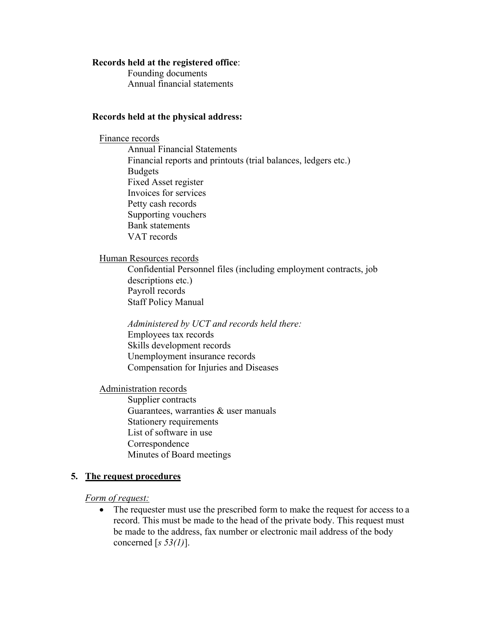#### **Records held at the registered office**:

Founding documents Annual financial statements

#### **Records held at the physical address:**

Finance records Annual Financial Statements Financial reports and printouts (trial balances, ledgers etc.) Budgets Fixed Asset register Invoices for services Petty cash records Supporting vouchers Bank statements VAT records

#### Human Resources records

Confidential Personnel files (including employment contracts, job descriptions etc.) Payroll records Staff Policy Manual

*Administered by UCT and records held there:* Employees tax records Skills development records Unemployment insurance records Compensation for Injuries and Diseases

Administration records

Supplier contracts Guarantees, warranties & user manuals Stationery requirements List of software in use **Correspondence** Minutes of Board meetings

#### **5. The request procedures**

*Form of request:*

• The requester must use the prescribed form to make the request for access to a record. This must be made to the head of the private body. This request must be made to the address, fax number or electronic mail address of the body concerned [*s 53(1)*].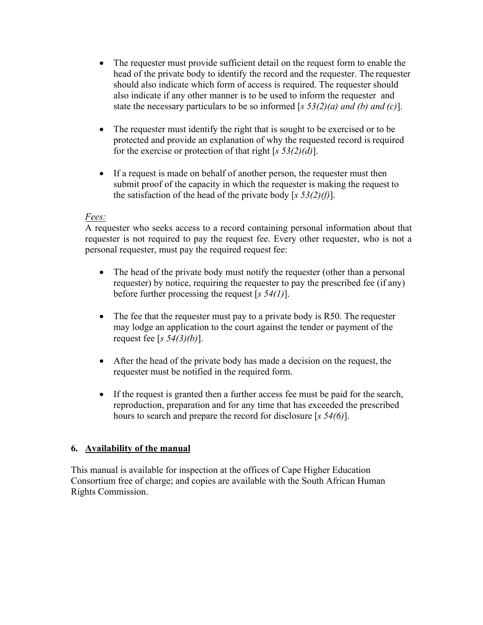- The requester must provide sufficient detail on the request form to enable the head of the private body to identify the record and the requester. The requester should also indicate which form of access is required. The requester should also indicate if any other manner is to be used to inform the requester and state the necessary particulars to be so informed [*s 53(2)(a) and (b) and (c)*].
- The requester must identify the right that is sought to be exercised or to be protected and provide an explanation of why the requested record is required for the exercise or protection of that right [*s 53(2)(d)*].
- If a request is made on behalf of another person, the requester must then submit proof of the capacity in which the requester is making the request to the satisfaction of the head of the private body [*s 53(2)(f)*].

## *Fees:*

A requester who seeks access to a record containing personal information about that requester is not required to pay the request fee. Every other requester, who is not a personal requester, must pay the required request fee:

- The head of the private body must notify the requester (other than a personal requester) by notice, requiring the requester to pay the prescribed fee (if any) before further processing the request [*s 54(1)*].
- The fee that the requester must pay to a private body is R50. The requester may lodge an application to the court against the tender or payment of the request fee [*s 54(3)(b)*].
- After the head of the private body has made a decision on the request, the requester must be notified in the required form.
- If the request is granted then a further access fee must be paid for the search, reproduction, preparation and for any time that has exceeded the prescribed hours to search and prepare the record for disclosure [*s 54(6)*].

# **6. Availability of the manual**

This manual is available for inspection at the offices of Cape Higher Education Consortium free of charge; and copies are available with the South African Human Rights Commission.